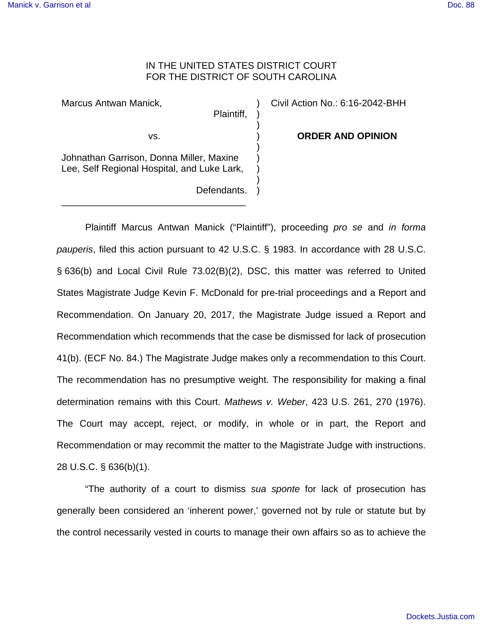## IN THE UNITED STATES DISTRICT COURT FOR THE DISTRICT OF SOUTH CAROLINA

) ) ) ) ) ) ) ) )

Marcus Antwan Manick, Plaintiff, vs. Johnathan Garrison, Donna Miller, Maxine Lee, Self Regional Hospital, and Luke Lark, Defendants.

\_\_\_\_\_\_\_\_\_\_\_\_\_\_\_\_\_\_\_\_\_\_\_\_\_\_\_\_\_\_\_\_\_\_\_

Civil Action No.: 6:16-2042-BHH

**ORDER AND OPINION**

Plaintiff Marcus Antwan Manick ("Plaintiff"), proceeding pro se and in forma pauperis, filed this action pursuant to 42 U.S.C. § 1983. In accordance with 28 U.S.C. § 636(b) and Local Civil Rule 73.02(B)(2), DSC, this matter was referred to United States Magistrate Judge Kevin F. McDonald for pre-trial proceedings and a Report and Recommendation. On January 20, 2017, the Magistrate Judge issued a Report and Recommendation which recommends that the case be dismissed for lack of prosecution 41(b). (ECF No. 84.) The Magistrate Judge makes only a recommendation to this Court. The recommendation has no presumptive weight. The responsibility for making a final determination remains with this Court. Mathews v. Weber, 423 U.S. 261, 270 (1976). The Court may accept, reject, or modify, in whole or in part, the Report and Recommendation or may recommit the matter to the Magistrate Judge with instructions. 28 U.S.C. § 636(b)(1).

"The authority of a court to dismiss sua sponte for lack of prosecution has generally been considered an 'inherent power,' governed not by rule or statute but by the control necessarily vested in courts to manage their own affairs so as to achieve the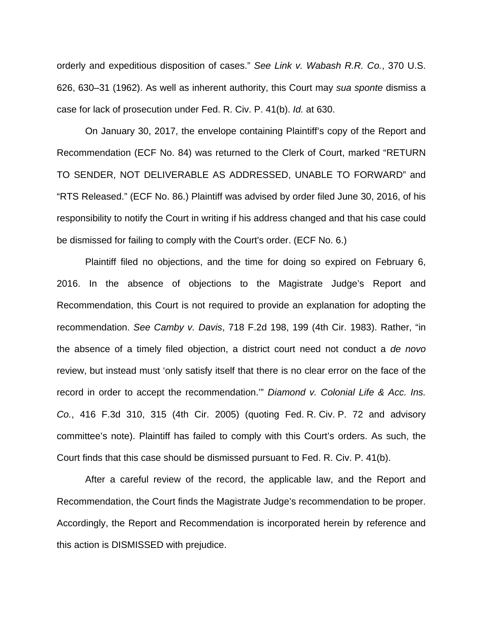orderly and expeditious disposition of cases." See Link v. Wabash R.R. Co., 370 U.S. 626, 630–31 (1962). As well as inherent authority, this Court may sua sponte dismiss a case for lack of prosecution under Fed. R. Civ. P. 41(b). Id. at 630.

 On January 30, 2017, the envelope containing Plaintiff's copy of the Report and Recommendation (ECF No. 84) was returned to the Clerk of Court, marked "RETURN TO SENDER, NOT DELIVERABLE AS ADDRESSED, UNABLE TO FORWARD" and "RTS Released." (ECF No. 86.) Plaintiff was advised by order filed June 30, 2016, of his responsibility to notify the Court in writing if his address changed and that his case could be dismissed for failing to comply with the Court's order. (ECF No. 6.)

Plaintiff filed no objections, and the time for doing so expired on February 6, 2016. In the absence of objections to the Magistrate Judge's Report and Recommendation, this Court is not required to provide an explanation for adopting the recommendation. See Camby v. Davis, 718 F.2d 198, 199 (4th Cir. 1983). Rather, "in the absence of a timely filed objection, a district court need not conduct a de novo review, but instead must 'only satisfy itself that there is no clear error on the face of the record in order to accept the recommendation.'" Diamond v. Colonial Life & Acc. Ins. Co., 416 F.3d 310, 315 (4th Cir. 2005) (quoting Fed. R. Civ. P. 72 and advisory committee's note). Plaintiff has failed to comply with this Court's orders. As such, the Court finds that this case should be dismissed pursuant to Fed. R. Civ. P. 41(b).

 After a careful review of the record, the applicable law, and the Report and Recommendation, the Court finds the Magistrate Judge's recommendation to be proper. Accordingly, the Report and Recommendation is incorporated herein by reference and this action is DISMISSED with prejudice.